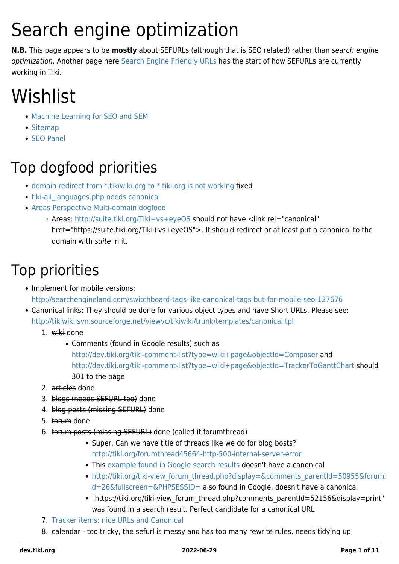# Search engine optimization

**N.B.** This page appears to be **mostly** about SEFURLs (although that is SEO related) rather than search engine optimization. Another page here [Search Engine Friendly URLs](https://dev.tiki.org/Search-Engine-Friendly-URLs) has the start of how SEFURLs are currently working in Tiki.

# Wishlist

- [Machine Learning for SEO and SEM](https://dev.tiki.org/Machine-Learning-for-SEO-and-SEM)
- [Sitemap](https://dev.tiki.org/Sitemap)
- [SEO Panel](https://dev.tiki.org/Seo-Panel)

### Top dogfood priorities

- [domain redirect from \\*.tikiwiki.org to \\*.tiki.org is not working](https://dev.tiki.org/wish4560) fixed
- tiki-all languages.php needs canonical
- [Areas Perspective Multi-domain dogfood](https://dev.tiki.org/Areas-Perspective-Multi-domain-dogfood)
	- Areas: <http://suite.tiki.org/Tiki+vs+eyeOS> should not have <link rel="canonical"
		- href="https://suite.tiki.org/Tiki+vs+eyeOS">. It should redirect or at least put a canonical to the domain with suite in it.

### Top priorities

- Implement for mobile versions: <http://searchengineland.com/switchboard-tags-like-canonical-tags-but-for-mobile-seo-127676>
- Canonical links: They should be done for various object types and have [Short URLs](https://dev.tiki.org/tiki-editpage.php?page=Short+URLs). Please see: <http://tikiwiki.svn.sourceforge.net/viewvc/tikiwiki/trunk/templates/canonical.tpl>
	- 1. wiki done
		- Comments (found in Google results) such as <http://dev.tiki.org/tiki-comment-list?type=wiki+page&objectId=Composer>and <http://dev.tiki.org/tiki-comment-list?type=wiki+page&objectId=TrackerToGanttChart>should 301 to the page
	- 2. articles done
	- 3. blogs (needs SEFURL too) done
	- 4. blog posts (missing SEFURL) done
	- 5. forum done
	- 6. forum posts (missing SEFURL) done (called it forumthread)
		- Super. Can we have title of threads like we do for blog bosts? <http://tiki.org/forumthread45664-http-500-internal-server-error>
		- This [example found in Google search results](http://tiki.org/tiki-view_forum_thread.php?comments_offset=0&comments_threadId=0&comments_parentId=44308&comments_threshold=0&thread_sort_mode=commentDate_asc&topics_offset=0&topics_find=&topics_sort_mode=lastPost_desc&topics_threshold=0&forumId=6&time_control=86400&display=&fullscreen=&PHPSESSID=) doesn't have a canonical
		- http://tiki.org/tiki-view forum\_thread.php?display=&comments\_parentId=50955&forumI [d=26&fullscreen=&PHPSESSID=](http://tiki.org/tiki-view_forum_thread.php?display=&comments_parentId=50955&forumId=26&fullscreen=&PHPSESSID=) also found in Google, doesn't have a canonical
		- "https://tiki.org/tiki-view\_forum\_thread.php?comments\_parentId=52156&display=print" was found in a search result. Perfect candidate for a canonical URL
	- 7. [Tracker items: nice URLs and Canonical](https://dev.tiki.org/wish4862)
	- 8. calendar too tricky, the sefurl is messy and has too many rewrite rules, needs tidying up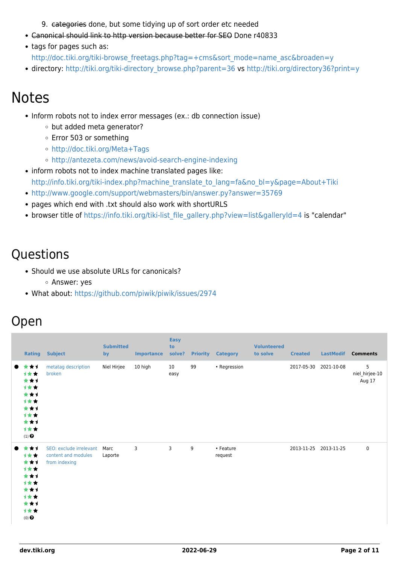9. categories done, but some tidying up of sort order etc needed

- Canonical should link to http version because better for SEO Done r40833
- tags for pages such as:
	- [http://doc.tiki.org/tiki-browse\\_freetags.php?tag=+cms&sort\\_mode=name\\_asc&broaden=y](http://doc.tiki.org/tiki-browse_freetags.php?tag=+cms&sort_mode=name_asc&broaden=y)
- directory: [http://tiki.org/tiki-directory\\_browse.php?parent=36](http://tiki.org/tiki-directory_browse.php?parent=36) vs<http://tiki.org/directory36?print=y>

### Notes

- Inform robots not to index error messages (ex.: db connection issue)
	- o but added meta generator?
	- Error 503 or something
	- <http://doc.tiki.org/Meta+Tags>
	- <http://antezeta.com/news/avoid-search-engine-indexing>
- inform robots not to index machine translated pages like: [http://info.tiki.org/tiki-index.php?machine\\_translate\\_to\\_lang=fa&no\\_bl=y&page=About+Tiki](http://info.tiki.org/tiki-index.php?machine_translate_to_lang=fa&no_bl=y&page=About+Tiki)
- <http://www.google.com/support/webmasters/bin/answer.py?answer=35769>
- pages which end with .txt should also work with shortURLS
- browser title of [https://info.tiki.org/tiki-list\\_file\\_gallery.php?view=list&galleryId=4](https://info.tiki.org/tiki-list_file_gallery.php?view=list&galleryId=4) is "calendar"

#### **Questions**

- Should we use absolute URLs for canonicals? Answer: yes
- What about:<https://github.com/piwik/piwik/issues/2974>

#### Open

| <b>Rating</b>                                                                       | <b>Subject</b>                                                  | <b>Submitted</b><br>by | <b>Importance</b> | <b>Easy</b><br>to<br>solve? | <b>Priority</b> | <b>Category</b>      | <b>Volunteered</b><br>to solve | <b>Created</b>        | <b>LastModif</b> | <b>Comments</b>               |
|-------------------------------------------------------------------------------------|-----------------------------------------------------------------|------------------------|-------------------|-----------------------------|-----------------|----------------------|--------------------------------|-----------------------|------------------|-------------------------------|
| ***<br>1★★<br>***<br>计女女<br>***<br>计女女<br>***<br>计女女<br>***<br>计女女<br>$(1)$ $\odot$ | metatag description<br>broken                                   | Niel Hirjee            | 10 high           | 10<br>easy                  | 99              | • Regression         |                                | 2017-05-30            | 2021-10-08       | 5<br>niel_hirjee-10<br>Aug 17 |
| ***<br>计女女<br>***<br>计女女<br>***<br>计女女<br>***<br>计女女<br>***<br>计女女<br>$(0)$ $\odot$ | SEO: exclude irrelevant<br>content and modules<br>from indexing | Marc<br>Laporte        | 3                 | 3                           | 9               | • Feature<br>request |                                | 2013-11-25 2013-11-25 |                  | 0                             |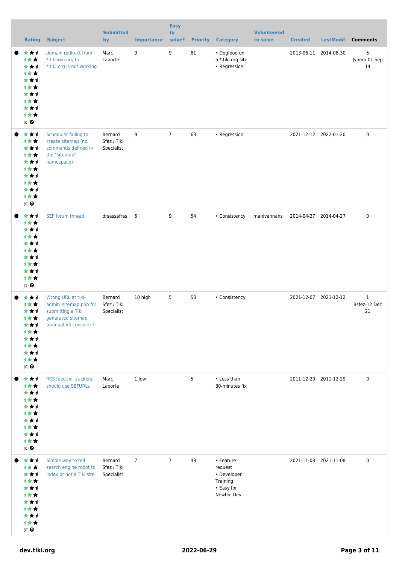| <b>Rating</b>                                                                                                      | <b>Subject</b>                                                                                                 | <b>Submitted</b><br>by               | <b>Importance</b> | <b>Easy</b><br>to<br>solve? |    | <b>Priority Category</b>                                                    | <b>Volunteered</b><br>to solve | <b>Created</b>        | <b>LastModif</b>      | <b>Comments</b>                    |
|--------------------------------------------------------------------------------------------------------------------|----------------------------------------------------------------------------------------------------------------|--------------------------------------|-------------------|-----------------------------|----|-----------------------------------------------------------------------------|--------------------------------|-----------------------|-----------------------|------------------------------------|
| ***<br>1★★<br>***<br><b>1**</b><br>***<br>计女女<br>***<br><b>1**</b><br>***<br>计女女<br>$(0)$ $\odot$                  | domain redirect from<br>*.tikiwiki.org to<br>*.tiki.org is not working                                         | Marc<br>Laporte                      | 9                 | 9                           | 81 | • Dogfood on<br>a *.tiki.org site<br>• Regression                           |                                | 2013-06-11            | 2014-08-30            | 5<br>Jyhem-01 Sep<br>14            |
| ***<br>计女女<br>***<br>计女女<br>***<br>计女女<br>***<br><b>1**</b><br>***<br>计女女<br>$(0)$ $\odot$                         | Scheduler failing to<br>create sitemap (no<br>commands defined in<br>the "sitemap"<br>namespace)               | Bernard<br>Sfez / Tiki<br>Specialist | 9                 | $\overline{7}$              | 63 | • Regression                                                                |                                |                       | 2021-12-12 2022-01-20 | $\pmb{0}$                          |
| ***<br>1★★<br>***<br><b>1**</b><br>***<br><b>1**</b><br>***<br><b>1**</b><br>***<br>计女女<br>$(1)$ $\odot$           | SEF forum thread                                                                                               | drsassafras 6                        |                   | 9                           | 54 | • Consistency                                                               | manivannans                    |                       | 2014-04-27 2014-04-27 | $\pmb{0}$                          |
| ***<br>1**<br>***<br>计女女<br>***<br><b>1**</b><br>***<br><b>1**</b><br>***<br>计女女<br>$(0)$ $\odot$                  | Wrong URL at tiki-<br>admin_sitemap.php for<br>submitting a Tiki<br>generated sitemap<br>(manual VS console) ? | Bernard<br>Sfez / Tiki<br>Specialist | 10 high           | 5                           | 50 | • Consistency                                                               |                                |                       | 2021-12-07 2021-12-12 | $\mathbf{1}$<br>Bsfez-12 Dec<br>21 |
| ***<br>1★★<br>***<br><b>1**</b><br>***<br><b>1**</b><br>***<br><b>1**</b><br>***<br>计女女<br>$(0)$<br>$\pmb{\Theta}$ | RSS feed for trackers:<br>should use SEFURLs                                                                   | Marc<br>Laporte                      | 1 low             |                             | 5  | • Less than<br>30-minutes fix                                               |                                | 2011-12-29 2011-12-29 |                       | $\pmb{0}$                          |
| ***<br>1★★<br>***<br>计女女<br>***<br><b>1**</b><br>***<br><b>1**</b><br>***<br>计女女<br>$(0)$ $\bigodot$               | Simple way to tell<br>search engine robot to<br>index or not a Tiki site                                       | Bernard<br>Sfez / Tiki<br>Specialist | $7\overline{ }$   | $7\overline{ }$             | 49 | • Feature<br>request<br>• Developer<br>Training<br>• Easy for<br>Newbie Dev |                                |                       | 2021-11-08 2021-11-08 | $\pmb{0}$                          |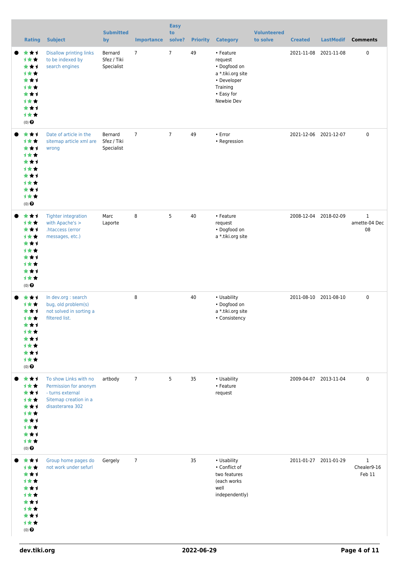| <b>Rating</b>                                                                                            | <b>Subject</b>                                                                                                  | <b>Submitted</b><br>by               | <b>Importance</b> | <b>Easy</b><br>to<br>solve? | <b>Priority</b> | <b>Category</b>                                                                                                  | <b>Volunteered</b><br>to solve | <b>Created</b> | <b>LastModif</b>      | <b>Comments</b>                      |
|----------------------------------------------------------------------------------------------------------|-----------------------------------------------------------------------------------------------------------------|--------------------------------------|-------------------|-----------------------------|-----------------|------------------------------------------------------------------------------------------------------------------|--------------------------------|----------------|-----------------------|--------------------------------------|
| ***<br>1★★<br>***<br><b>1**</b><br>***<br>***<br>***<br><b>1**</b><br>***<br>1★★<br>(0)                  | <b>Disallow printing links</b><br>to be indexed by<br>search engines                                            | Bernard<br>Sfez / Tiki<br>Specialist | $\overline{7}$    | $\overline{7}$              | 49              | • Feature<br>request<br>• Dogfood on<br>a *.tiki.org site<br>• Developer<br>Training<br>• Easy for<br>Newbie Dev |                                |                | 2021-11-08 2021-11-08 | 0                                    |
| ***<br>1★★<br>***<br><b>1**</b><br>***<br><b>1**</b><br>***<br><b>1**</b><br>***<br>计女女<br>$(0)$ $\odot$ | Date of article in the<br>sitemap article xml are<br>wrong                                                      | Bernard<br>Sfez / Tiki<br>Specialist | $\overline{7}$    | $\overline{7}$              | 49              | • Error<br>• Regression                                                                                          |                                |                | 2021-12-06 2021-12-07 | 0                                    |
| ***<br><b>1**</b><br>***<br>1★★<br>***<br><b>1**</b><br>***<br><b>1**</b><br>***<br>计女女<br>$(0)$ $\odot$ | <b>Tighter integration</b><br>with Apache's ><br>.htaccess (error<br>messages, etc.)                            | Marc<br>Laporte                      | 8                 | 5                           | 40              | • Feature<br>request<br>• Dogfood on<br>a *.tiki.org site                                                        |                                |                | 2008-12-04 2018-02-09 | $\mathbf 1$<br>amette-04 Dec<br>08   |
| ***<br>1★★<br>* * 1<br><b>1**</b><br>***<br>***<br>***<br><b>1**</b><br>***<br>1★★<br>$(0)$ $\odot$      | In dev.org : search<br>bug, old problem(s)<br>not solved in sorting a<br>filtered list.                         |                                      | 8                 |                             | 40              | • Usability<br>• Dogfood on<br>a *.tiki.org site<br>• Consistency                                                |                                |                | 2011-08-10 2011-08-10 | 0                                    |
| ***<br>1★★<br>***<br><b>1**</b><br>***<br><b>1**</b><br>***<br><b>1**</b><br>***<br>计女女<br>$(0)$ $\odot$ | To show Links with no<br>Permission for anonym<br>- turns external<br>Sitemap creation in a<br>disasterarea 302 | artbody                              | $7\overline{ }$   | 5                           | 35              | • Usability<br>• Feature<br>request                                                                              |                                |                | 2009-04-07 2013-11-04 | 0                                    |
| ***<br>1★★<br>***<br><b>1**</b><br>***<br><b>1**</b><br>***<br><b>1**</b><br>***<br>计女女<br>$(0)$ $\odot$ | Group home pages do<br>not work under sefurl                                                                    | Gergely                              | $\overline{7}$    |                             | 35              | • Usability<br>• Conflict of<br>two features<br>(each works)<br>well<br>independently)                           |                                |                | 2011-01-27 2011-01-29 | $\mathbf 1$<br>Chealer9-16<br>Feb 11 |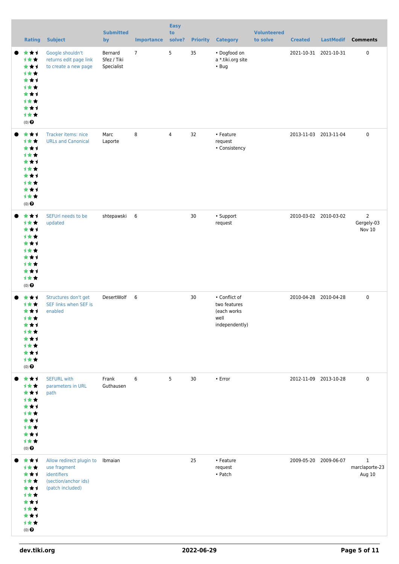| <b>Rating</b>                                                                                               | <b>Subject</b>                                                                                              | <b>Submitted</b><br>by               | <b>Importance</b> | <b>Easy</b><br>to<br>solve? | <b>Priority</b> | <b>Category</b>                                                        | <b>Volunteered</b><br>to solve | <b>Created</b>        | <b>LastModif</b> | <b>Comments</b>                               |
|-------------------------------------------------------------------------------------------------------------|-------------------------------------------------------------------------------------------------------------|--------------------------------------|-------------------|-----------------------------|-----------------|------------------------------------------------------------------------|--------------------------------|-----------------------|------------------|-----------------------------------------------|
| ***<br>1★★<br>***<br>1★★<br>***<br><b>1**</b><br>***<br><b>1**</b><br>***<br>计女女<br>(0)                     | Google shouldn't<br>returns edit page link<br>to create a new page                                          | Bernard<br>Sfez / Tiki<br>Specialist | $7^{\circ}$       | 5                           | 35              | • Dogfood on<br>a *.tiki.org site<br>$\cdot$ Bug                       |                                | 2021-10-31 2021-10-31 |                  | 0                                             |
| ***<br>***<br>***<br><b>1**</b><br>***<br>计女女<br>***<br><b>1**</b><br>***<br>计女女<br>$(0)$ $\odot$           | Tracker items: nice<br><b>URLs and Canonical</b>                                                            | Marc<br>Laporte                      | 8                 | $\overline{4}$              | 32              | • Feature<br>request<br>• Consistency                                  |                                | 2013-11-03 2013-11-04 |                  | 0                                             |
| ***<br>1★★<br>***<br><b>1**</b><br>***<br><b>1**</b><br>***<br>1★★<br>***<br>计女女<br>$(0)$ $\odot$           | SEFUrl needs to be<br>updated                                                                               | shtepawski 6                         |                   |                             | 30              | • Support<br>request                                                   |                                | 2010-03-02 2010-03-02 |                  | $\overline{2}$<br>Gergely-03<br><b>Nov 10</b> |
| ***<br>1★★<br>***<br><b>1**</b><br>***<br><b>1**</b><br>★★1<br><b>1**</b><br>***<br>计女女<br>$(0)$ $\odot$    | Structures don't get<br>SEF links when SEF is<br>enabled                                                    | DesertWolf 6                         |                   |                             | 30              | • Conflict of<br>two features<br>(each works<br>well<br>independently) |                                | 2010-04-28 2010-04-28 |                  | 0                                             |
| ***<br>1**<br>***<br><b>1**</b><br>***<br>1★★<br>***<br><b>1**</b><br>***<br>计女女<br>$(0)$<br>$\pmb{\Theta}$ | <b>SEFURL with</b><br>parameters in URL<br>path                                                             | Frank<br>Guthausen                   | 6                 | 5                           | 30              | • Error                                                                |                                | 2012-11-09 2013-10-28 |                  | 0                                             |
| ***<br>计女女<br>***<br>1★★<br>***<br>1★★<br>***<br>计女女<br>***<br>计女女<br>$(0)$ $\bigodot$                      | Allow redirect plugin to Ibmaian<br>use fragment<br>identifiers<br>(section/anchor ids)<br>(patch included) |                                      |                   |                             | 25              | • Feature<br>request<br>• Patch                                        |                                | 2009-05-20            | 2009-06-07       | $\mathbf{1}$<br>marclaporte-23<br>Aug 10      |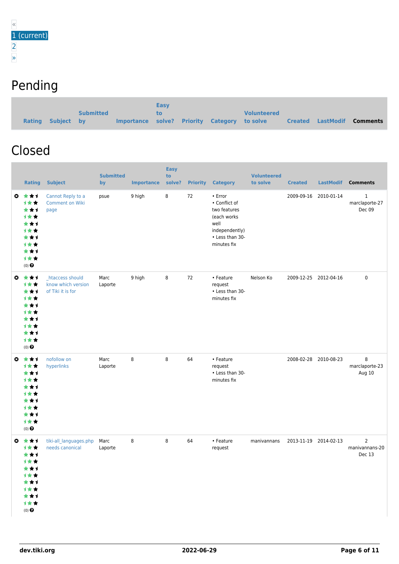### Pending

|                   |                  |                                              | <b>Easy</b> |  |                    |                          |          |
|-------------------|------------------|----------------------------------------------|-------------|--|--------------------|--------------------------|----------|
|                   | <b>Submitted</b> |                                              | TO.         |  | <b>Volunteered</b> |                          |          |
| Rating Subject by |                  | Importance solve? Priority Category to solve |             |  |                    | <b>Created LastModif</b> | Comments |

#### Closed

|           | <b>Rating</b>                                                                                                   | <b>Subject</b>                                              | <b>Submitted</b><br>by | <b>Importance</b> | <b>Easy</b><br>to<br>solve? | <b>Priority</b> | <b>Category</b>                                                                                                     | <b>Volunteered</b><br>to solve | <b>Created</b>        | <b>LastModif</b> | <b>Comments</b>                            |
|-----------|-----------------------------------------------------------------------------------------------------------------|-------------------------------------------------------------|------------------------|-------------------|-----------------------------|-----------------|---------------------------------------------------------------------------------------------------------------------|--------------------------------|-----------------------|------------------|--------------------------------------------|
|           | ◎ ★★1<br>1★★<br>***<br>计女女<br>***<br><b>1**</b><br>***<br><b>1**</b><br>***<br>1★★<br>$(0)$ $\odot$             | Cannot Reply to a<br><b>Comment on Wiki</b><br>page         | psue                   | 9 high            | 8                           | 72              | • Error<br>• Conflict of<br>two features<br>(each works<br>well<br>independently)<br>• Less than 30-<br>minutes fix |                                | 2009-09-16            | 2010-01-14       | $\mathbf{1}$<br>marclaporte-27<br>Dec 09   |
|           | $0 \star \star 1$<br>1★★<br>***<br>计女女<br>***<br><b>1**</b><br>***<br><b>1**</b><br>***<br>1★★<br>$(0)$ $\odot$ | _htaccess should<br>know which version<br>of Tiki it is for | Marc<br>Laporte        | 9 high            | 8                           | 72              | • Feature<br>request<br>• Less than 30-<br>minutes fix                                                              | Nelson Ko                      | 2009-12-25 2012-04-16 |                  | $\pmb{0}$                                  |
| $\bullet$ | ***<br>1★★<br>***<br>1★★<br>***<br><b>1**</b><br>***<br>计女女<br>***<br>1★★<br>$(0)$ $\odot$                      | nofollow on<br>hyperlinks                                   | Marc<br>Laporte        | 8                 | 8                           | 64              | • Feature<br>request<br>• Less than 30-<br>minutes fix                                                              |                                | 2008-02-28 2010-08-23 |                  | 8<br>marclaporte-23<br>Aug 10              |
| o.        | ***<br><b>1★★</b><br>***<br>计女女<br>***<br>1★★<br>***<br>计女女<br>***<br>计女女<br>$(0)$ $\odot$                      | tiki-all_languages.php<br>needs canonical                   | Marc<br>Laporte        | 8                 | 8                           | 64              | • Feature<br>request                                                                                                | manivannans                    | 2013-11-19 2014-02-13 |                  | $\overline{2}$<br>manivannans-20<br>Dec 13 |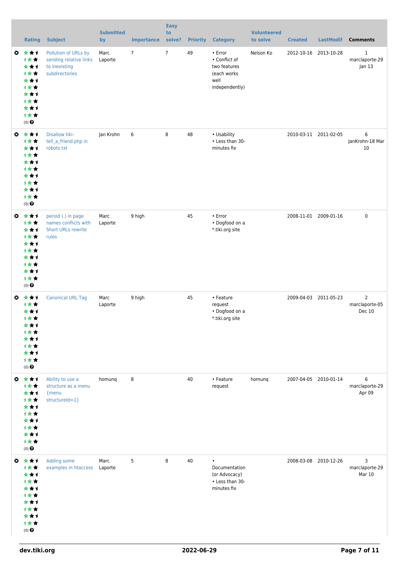|           | <b>Rating</b>                                                                                                          | <b>Subject</b>                                                                    | <b>Submitted</b><br>by | <b>Importance</b> | <b>Easy</b><br>to<br>solve? | <b>Priority</b> | <b>Category</b>                                                                   | <b>Volunteered</b><br>to solve | <b>Created</b> | <b>LastModif</b>      | <b>Comments</b>                            |
|-----------|------------------------------------------------------------------------------------------------------------------------|-----------------------------------------------------------------------------------|------------------------|-------------------|-----------------------------|-----------------|-----------------------------------------------------------------------------------|--------------------------------|----------------|-----------------------|--------------------------------------------|
| ◎         | ***<br>1**<br>***<br><b>1**</b><br>***<br>***<br>***<br><b>1**</b><br>***<br>计女女<br>(0)                                | Pollution of URLs by<br>sending relative links<br>to inexisting<br>subdirectories | Marc<br>Laporte        | $\overline{7}$    | $\overline{7}$              | 49              | • Error<br>• Conflict of<br>two features<br>(each works<br>well<br>independently) | Nelson Ko                      |                | 2012-10-16 2013-10-28 | 1<br>marclaporte-29<br>Jan 13              |
| $\bullet$ | ***<br>1★★<br>***<br><b>1**</b><br>***<br><b>1**</b><br>***<br><b>1**</b><br>***<br>计女女<br>$(0)$ $\odot$               | Disallow tiki-<br>tell_a_friend.php in<br>robots.txt                              | Jan Krohn              | 6                 | 8                           | 48              | • Usability<br>• Less than 30-<br>minutes fix                                     |                                |                | 2010-03-11 2011-02-05 | 6<br>JanKrohn-18 Mar<br>10                 |
| O         | 大女子<br>计女女<br>***<br>计女女<br>***<br><b>1**</b><br>***<br>计女女<br>***<br>计女女<br>$(0)$ $\odot$                             | period (.) in page<br>names conflicts with<br><b>Short URLs rewrite</b><br>rules  | Marc<br>Laporte        | 9 high            |                             | 45              | • Error<br>• Dogfood on a<br>*.tiki.org site                                      |                                |                | 2008-11-01 2009-01-16 | $\mathbf 0$                                |
| o.        | 大大才<br><b>1**</b><br>***<br><b>1**</b><br>***<br>1 * *<br>***<br><b>1**</b><br>***<br>计女女<br>$(0)$ $\odot$             | <b>Canonical URL Tag</b>                                                          | Marc<br>Laporte        | 9 high            |                             | 45              | • Feature<br>request<br>• Dogfood on a<br>*.tiki.org site                         |                                |                | 2009-04-03 2011-05-23 | $\overline{2}$<br>marclaporte-05<br>Dec 10 |
|           | $0 \star \star 1$<br>1★★<br>***<br><b>1**</b><br>***<br><b>1**</b><br>***<br><b>1**</b><br>***<br>1★★<br>$(0)$ $\odot$ | Ability to use a<br>structure as a menu<br>{menu<br>structureId=1}                | homung                 | 8                 |                             | 40              | • Feature<br>request                                                              | homung                         |                | 2007-04-05 2010-01-14 | 6<br>marclaporte-29<br>Apr 09              |
|           | $0 \star \star 1$<br>1★★<br>***<br><b>1**</b><br>***<br><b>1**</b><br>***<br><b>1**</b><br>***<br>1★★<br>$(0)$ $\odot$ | Adding some<br>examples in htaccess                                               | Marc<br>Laporte        | 5                 | 8                           | 40              | $\bullet$<br>Documentation<br>(or Advocacy)<br>• Less than 30-<br>minutes fix     |                                |                | 2008-03-08 2010-12-26 | 3<br>marclaporte-29<br>Mar 10              |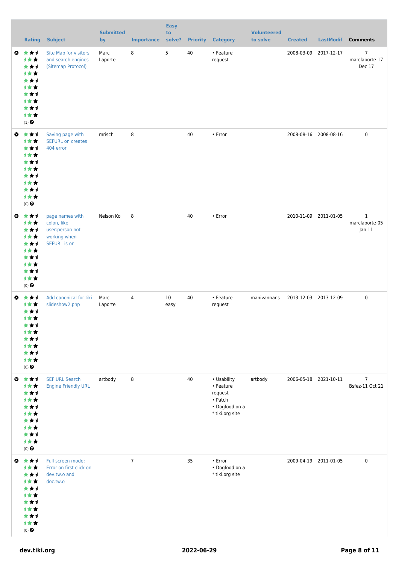|           | <b>Rating</b>                                                                                                             | <b>Subject</b>                                                                           | <b>Submitted</b><br>by | <b>Importance</b> | <b>Easy</b><br>to<br>solve? |    | <b>Priority Category</b>                                                            | <b>Volunteered</b><br>to solve | <b>Created</b>        | <b>LastModif</b>      | <b>Comments</b>                            |
|-----------|---------------------------------------------------------------------------------------------------------------------------|------------------------------------------------------------------------------------------|------------------------|-------------------|-----------------------------|----|-------------------------------------------------------------------------------------|--------------------------------|-----------------------|-----------------------|--------------------------------------------|
|           | ◎ ★★1<br>1★★<br>***<br><b>1**</b><br>***<br>计女女<br>***<br><b>1**</b><br>***<br>计女女<br>$(1)$ $\odot$                       | Site Map for visitors<br>and search engines<br>(Sitemap Protocol)                        | Marc<br>Laporte        | 8                 | 5                           | 40 | • Feature<br>request                                                                |                                |                       | 2008-03-09 2017-12-17 | $\overline{7}$<br>marclaporte-17<br>Dec 17 |
|           | ◎ ★★1<br>计女女<br>***<br>***<br>***<br><b>1**</b><br>***<br>计女女<br>***<br>计女女<br>$(0)$ $\odot$                              | Saving page with<br><b>SEFURL on creates</b><br>404 error                                | mrisch                 | 8                 |                             | 40 | • Error                                                                             |                                | 2008-08-16 2008-08-16 |                       | $\mathbf 0$                                |
| $\bullet$ | ***<br>1★★<br>***<br><b>1**</b><br>***<br><b>1**</b><br>***<br>计女女<br>***<br>计女女<br>$(0)$ $\odot$                         | page names with<br>colon, like<br>user:person not<br>working when<br><b>SEFURL</b> is on | Nelson Ko              | 8                 |                             | 40 | • Error                                                                             |                                |                       | 2010-11-09 2011-01-05 | $\mathbf{1}$<br>marclaporte-05<br>Jan 11   |
| O         | ***<br><b>1★★</b><br>***<br>计女女<br>***<br><b>1**</b><br>***<br><b>1**</b><br>***<br>1★★<br>$(0)$ $\odot$                  | Add canonical for tiki-<br>slideshow2.php                                                | Marc<br>Laporte        | $\overline{4}$    | 10<br>easy                  | 40 | • Feature<br>request                                                                | manivannans                    | 2013-12-03 2013-12-09 |                       | $\mathbf 0$                                |
|           | $0 \star \star 1$<br>计女女<br>***<br>1★★<br>***<br>计女女<br>***<br><b>1**</b><br>***<br>1★★<br>$(0)$<br>$\pmb{\Theta}$        | <b>SEF URL Search</b><br><b>Engine Friendly URL</b>                                      | artbody                | 8                 |                             | 40 | • Usability<br>• Feature<br>request<br>• Patch<br>• Dogfood on a<br>*.tiki.org site | artbody                        |                       | 2006-05-18 2021-10-11 | $\overline{7}$<br>Bsfez-11 Oct 21          |
|           | $0 \star \star 1$<br><b>1**</b><br>***<br><b>1**</b><br>***<br><b>1**</b><br>***<br>计女女<br>***<br>计女女<br>$(0)$ $\bigodot$ | Full screen mode:<br>Error on first click on<br>dev.tw.o and<br>doc.tw.o                 |                        | $\overline{7}$    |                             | 35 | • Error<br>• Dogfood on a<br>*.tiki.org site                                        |                                |                       | 2009-04-19 2011-01-05 | $\mathbf 0$                                |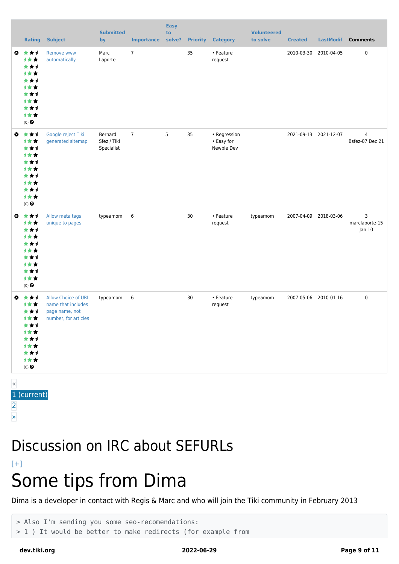|                       | <b>Rating</b>                                                                                             | <b>Subject</b>                                                                             | <b>Submitted</b><br>by               | <b>Importance</b> | <b>Easy</b><br>to<br>solve? |    | <b>Priority Category</b>                 | <b>Volunteered</b><br>to solve | <b>Created</b> | <b>LastModif</b>      | <b>Comments</b>                   |
|-----------------------|-----------------------------------------------------------------------------------------------------------|--------------------------------------------------------------------------------------------|--------------------------------------|-------------------|-----------------------------|----|------------------------------------------|--------------------------------|----------------|-----------------------|-----------------------------------|
| $\boldsymbol{\omega}$ | 大女子<br>1★★<br>***<br><b>1**</b><br>***<br><b>1**</b><br>***<br><b>1**</b><br>***<br>1★★<br>$(0)$ $\Theta$ | Remove www<br>automatically                                                                | Marc<br>Laporte                      | $\overline{7}$    |                             | 35 | • Feature<br>request                     |                                |                | 2010-03-30 2010-04-05 | $\pmb{0}$                         |
| $\bullet$             | 大女子<br>计女女<br>***<br><b>1**</b><br>***<br><b>1**</b><br>***<br><b>1**</b><br>***<br>1★★<br>$(0)$ $\Theta$ | Google reject Tiki<br>generated sitemap                                                    | Bernard<br>Sfez / Tiki<br>Specialist | $\overline{7}$    | 5                           | 35 | • Regression<br>• Easy for<br>Newbie Dev |                                |                | 2021-09-13 2021-12-07 | $\overline{4}$<br>Bsfez-07 Dec 21 |
| $\bullet$             | ***<br>1**<br>***<br><b>1**</b><br>***<br><b>1**</b><br>***<br><b>1**</b><br>***<br>计女女<br>$(0)$ $\odot$  | Allow meta tags<br>unique to pages                                                         | typeamom                             | 6                 |                             | 30 | • Feature<br>request                     | typeamom                       |                | 2007-04-09 2018-03-06 | 3<br>marclaporte-15<br>Jan 10     |
| $\boldsymbol{\omega}$ | 食食手<br>计女女<br>***<br>计女女<br>***<br>计女女<br>***<br>计女女<br>***<br>1★★<br>$(0)$ $\odot$                       | <b>Allow Choice of URL</b><br>name that includes<br>page name, not<br>number, for articles | typeamom                             | 6                 |                             | 30 | • Feature<br>request                     | typeamom                       |                | 2007-05-06 2010-01-16 | $\pmb{0}$                         |

« 1 (current) [2](https://dev.tiki.org/tiki-print.php?tr_sort_mode2=f_48_asc&page=Search+engine+optimization&tr_offset3=20) [»](https://dev.tiki.org/tiki-print.php?tr_sort_mode2=f_48_asc&page=Search+engine+optimization&tr_offset3=20)

### Discussion on IRC about SEFURLs

#### $[+]$ Some tips from Dima

Dima is a developer in contact with Regis & Marc and who will join the Tiki community in February 2013

```
> Also I'm sending you some seo-recomendations:
> 1 ) It would be better to make redirects (for example from
```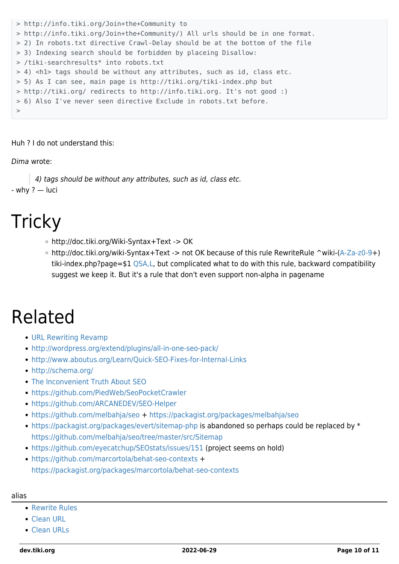```
> http://info.tiki.org/Join+the+Community to
> http://info.tiki.org/Join+the+Community/) All urls should be in one format.
> 2) In robots.txt directive Crawl-Delay should be at the bottom of the file
> 3) Indexing search should be forbidden by placeing Disallow:
> /tiki-searchresults* into robots.txt
> 4) <h1> tags should be without any attributes, such as id, class etc.
> 5) As I can see, main page is http://tiki.org/tiki-index.php but
> http://tiki.org/ redirects to http://info.tiki.org. It's not good :)
> 6) Also I've never seen directive Exclude in robots.txt before.
>
```
Huh ? I do not understand this:

#### Dima wrote:

4) tags should be without any attributes, such as id, class etc. - why ? — luci

## **Tricky**

- http://doc.tiki.org/Wiki-Syntax+Text -> OK
- http://doc.tiki.org/wiki-Syntax+Text -> not OK because of this rule RewriteRule ^wiki-[\(A-Za-z0-9](https://dev.tiki.org/A-Za-z0-9)+) tiki-index.php?page=\$1 [QSA,L](https://dev.tiki.org/QSA,L), but complicated what to do with this rule, backward compatibility suggest we keep it. But it's a rule that don't even support non-alpha in pagename

## Related

- [URL Rewriting Revamp](https://dev.tiki.org/URL-Rewriting-Revamp)
- <http://wordpress.org/extend/plugins/all-in-one-seo-pack/>
- <http://www.aboutus.org/Learn/Quick-SEO-Fixes-for-Internal-Links>
- <http://schema.org/>
- [The Inconvenient Truth About SEO](http://www.smashingmagazine.com/2012/12/11/seo-the-inconvenient-truth/)
- <https://github.com/PiedWeb/SeoPocketCrawler>
- <https://github.com/ARCANEDEV/SEO-Helper>
- <https://github.com/melbahja/seo> +<https://packagist.org/packages/melbahja/seo>
- <https://packagist.org/packages/evert/sitemap-php> is abandoned so perhaps could be replaced by \* <https://github.com/melbahja/seo/tree/master/src/Sitemap>
- <https://github.com/eyecatchup/SEOstats/issues/151>(project seems on hold)
- <https://github.com/marcortola/behat-seo-contexts> + <https://packagist.org/packages/marcortola/behat-seo-contexts>

#### alias

- [Rewrite Rules](https://dev.tiki.org/Rewrite-Rules)
- [Clean URL](https://dev.tiki.org/Clean-URL)
- [Clean URLs](https://dev.tiki.org/Clean-URLs)